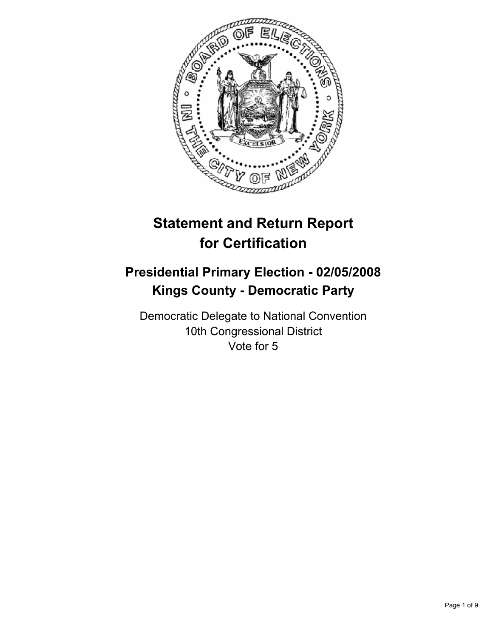

# **Statement and Return Report for Certification**

## **Presidential Primary Election - 02/05/2008 Kings County - Democratic Party**

Democratic Delegate to National Convention 10th Congressional District Vote for 5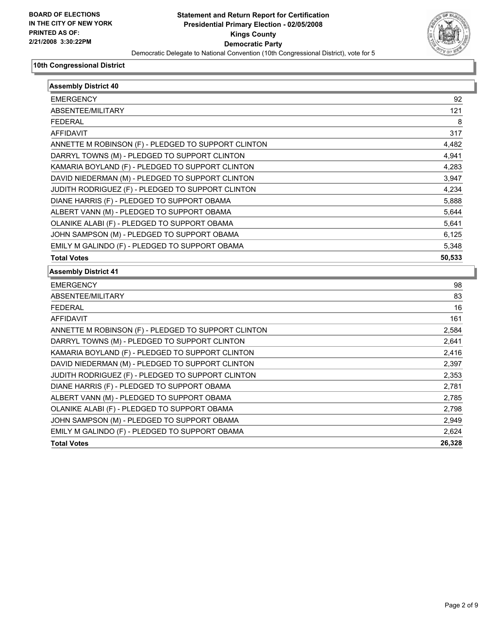

| <b>Assembly District 40</b>                         |        |
|-----------------------------------------------------|--------|
| <b>EMERGENCY</b>                                    | 92     |
| ABSENTEE/MILITARY                                   | 121    |
| <b>FEDERAL</b>                                      | 8      |
| <b>AFFIDAVIT</b>                                    | 317    |
| ANNETTE M ROBINSON (F) - PLEDGED TO SUPPORT CLINTON | 4,482  |
| DARRYL TOWNS (M) - PLEDGED TO SUPPORT CLINTON       | 4,941  |
| KAMARIA BOYLAND (F) - PLEDGED TO SUPPORT CLINTON    | 4,283  |
| DAVID NIEDERMAN (M) - PLEDGED TO SUPPORT CLINTON    | 3,947  |
| JUDITH RODRIGUEZ (F) - PLEDGED TO SUPPORT CLINTON   | 4,234  |
| DIANE HARRIS (F) - PLEDGED TO SUPPORT OBAMA         | 5,888  |
| ALBERT VANN (M) - PLEDGED TO SUPPORT OBAMA          | 5,644  |
| OLANIKE ALABI (F) - PLEDGED TO SUPPORT OBAMA        | 5,641  |
| JOHN SAMPSON (M) - PLEDGED TO SUPPORT OBAMA         | 6,125  |
| EMILY M GALINDO (F) - PLEDGED TO SUPPORT OBAMA      | 5,348  |
| <b>Total Votes</b>                                  | 50,533 |
| <b>Assembly District 41</b>                         |        |
| <b>EMERGENCY</b>                                    | 98     |
| ABSENTEE/MILITARY                                   | 83     |
| <b>FEDERAL</b>                                      | 16     |
| <b>AFFIDAVIT</b>                                    | 161    |
| ANNETTE M ROBINSON (F) - PLEDGED TO SUPPORT CLINTON | 2,584  |
| DARRYL TOWNS (M) - PLEDGED TO SUPPORT CLINTON       | 2,641  |
| KAMARIA BOYLAND (F) - PLEDGED TO SUPPORT CLINTON    | 2,416  |
| DAVID NIEDERMAN (M) - PLEDGED TO SUPPORT CLINTON    | 2,397  |
| JUDITH RODRIGUEZ (F) - PLEDGED TO SUPPORT CLINTON   | 2,353  |
| DIANE HARRIS (F) - PLEDGED TO SUPPORT OBAMA         | 2,781  |
| ALBERT VANN (M) - PLEDGED TO SUPPORT OBAMA          | 2,785  |
| OLANIKE ALABI (F) - PLEDGED TO SUPPORT OBAMA        | 2,798  |
| JOHN SAMPSON (M) - PLEDGED TO SUPPORT OBAMA         | 2,949  |
|                                                     |        |
| EMILY M GALINDO (F) - PLEDGED TO SUPPORT OBAMA      | 2,624  |
| <b>Total Votes</b>                                  | 26,328 |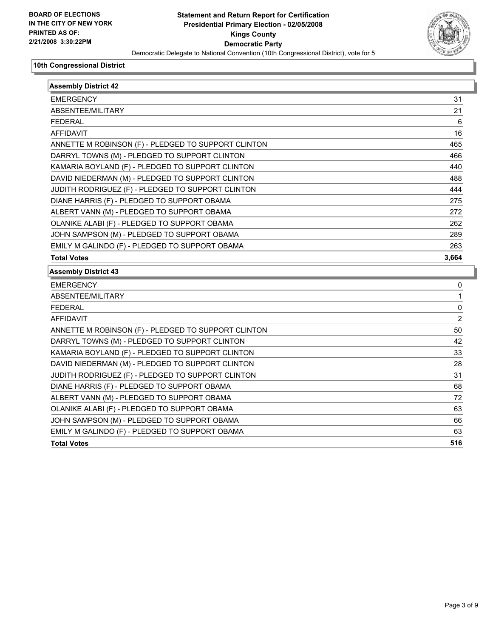

| <b>Assembly District 42</b>                         |                |
|-----------------------------------------------------|----------------|
| <b>EMERGENCY</b>                                    | 31             |
| ABSENTEE/MILITARY                                   | 21             |
| <b>FEDERAL</b>                                      | 6              |
| <b>AFFIDAVIT</b>                                    | 16             |
| ANNETTE M ROBINSON (F) - PLEDGED TO SUPPORT CLINTON | 465            |
| DARRYL TOWNS (M) - PLEDGED TO SUPPORT CLINTON       | 466            |
| KAMARIA BOYLAND (F) - PLEDGED TO SUPPORT CLINTON    | 440            |
| DAVID NIEDERMAN (M) - PLEDGED TO SUPPORT CLINTON    | 488            |
| JUDITH RODRIGUEZ (F) - PLEDGED TO SUPPORT CLINTON   | 444            |
| DIANE HARRIS (F) - PLEDGED TO SUPPORT OBAMA         | 275            |
| ALBERT VANN (M) - PLEDGED TO SUPPORT OBAMA          | 272            |
| OLANIKE ALABI (F) - PLEDGED TO SUPPORT OBAMA        | 262            |
| JOHN SAMPSON (M) - PLEDGED TO SUPPORT OBAMA         | 289            |
| EMILY M GALINDO (F) - PLEDGED TO SUPPORT OBAMA      | 263            |
| <b>Total Votes</b>                                  | 3,664          |
| <b>Assembly District 43</b>                         |                |
| <b>EMERGENCY</b>                                    | 0              |
| ABSENTEE/MILITARY                                   | 1              |
| <b>FEDERAL</b>                                      | 0              |
| <b>AFFIDAVIT</b>                                    | $\overline{2}$ |
| ANNETTE M ROBINSON (F) - PLEDGED TO SUPPORT CLINTON | 50             |
| DARRYL TOWNS (M) - PLEDGED TO SUPPORT CLINTON       | 42             |
| KAMARIA BOYLAND (F) - PLEDGED TO SUPPORT CLINTON    | 33             |
| DAVID NIEDERMAN (M) - PLEDGED TO SUPPORT CLINTON    | 28             |
| JUDITH RODRIGUEZ (F) - PLEDGED TO SUPPORT CLINTON   | 31             |
| DIANE HARRIS (F) - PLEDGED TO SUPPORT OBAMA         | 68             |
| ALBERT VANN (M) - PLEDGED TO SUPPORT OBAMA          | 72             |
| OLANIKE ALABI (F) - PLEDGED TO SUPPORT OBAMA        | 63             |
| JOHN SAMPSON (M) - PLEDGED TO SUPPORT OBAMA         | 66             |
| EMILY M GALINDO (F) - PLEDGED TO SUPPORT OBAMA      | 63             |
|                                                     |                |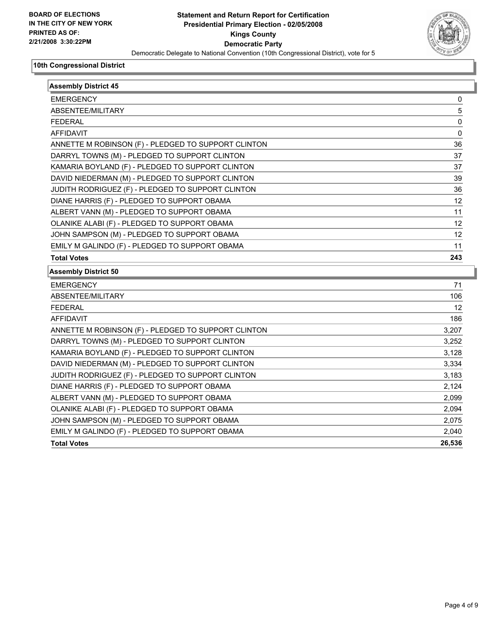

| <b>Assembly District 45</b>                         |        |
|-----------------------------------------------------|--------|
| <b>EMERGENCY</b>                                    | 0      |
| ABSENTEE/MILITARY                                   | 5      |
| <b>FEDERAL</b>                                      | 0      |
| <b>AFFIDAVIT</b>                                    | 0      |
| ANNETTE M ROBINSON (F) - PLEDGED TO SUPPORT CLINTON | 36     |
| DARRYL TOWNS (M) - PLEDGED TO SUPPORT CLINTON       | 37     |
| KAMARIA BOYLAND (F) - PLEDGED TO SUPPORT CLINTON    | 37     |
| DAVID NIEDERMAN (M) - PLEDGED TO SUPPORT CLINTON    | 39     |
| JUDITH RODRIGUEZ (F) - PLEDGED TO SUPPORT CLINTON   | 36     |
| DIANE HARRIS (F) - PLEDGED TO SUPPORT OBAMA         | 12     |
| ALBERT VANN (M) - PLEDGED TO SUPPORT OBAMA          | 11     |
| OLANIKE ALABI (F) - PLEDGED TO SUPPORT OBAMA        | 12     |
| JOHN SAMPSON (M) - PLEDGED TO SUPPORT OBAMA         | 12     |
| EMILY M GALINDO (F) - PLEDGED TO SUPPORT OBAMA      | 11     |
| <b>Total Votes</b>                                  | 243    |
| <b>Assembly District 50</b>                         |        |
| <b>EMERGENCY</b>                                    | 71     |
| ABSENTEE/MILITARY                                   | 106    |
| <b>FEDERAL</b>                                      | 12     |
| <b>AFFIDAVIT</b>                                    | 186    |
| ANNETTE M ROBINSON (F) - PLEDGED TO SUPPORT CLINTON | 3,207  |
| DARRYL TOWNS (M) - PLEDGED TO SUPPORT CLINTON       | 3,252  |
| KAMARIA BOYLAND (F) - PLEDGED TO SUPPORT CLINTON    | 3,128  |
| DAVID NIEDERMAN (M) - PLEDGED TO SUPPORT CLINTON    | 3,334  |
| JUDITH RODRIGUEZ (F) - PLEDGED TO SUPPORT CLINTON   | 3,183  |
| DIANE HARRIS (F) - PLEDGED TO SUPPORT OBAMA         | 2,124  |
| ALBERT VANN (M) - PLEDGED TO SUPPORT OBAMA          | 2,099  |
| OLANIKE ALABI (F) - PLEDGED TO SUPPORT OBAMA        | 2,094  |
| JOHN SAMPSON (M) - PLEDGED TO SUPPORT OBAMA         | 2,075  |
| EMILY M GALINDO (F) - PLEDGED TO SUPPORT OBAMA      | 2,040  |
| <b>Total Votes</b>                                  | 26,536 |
|                                                     |        |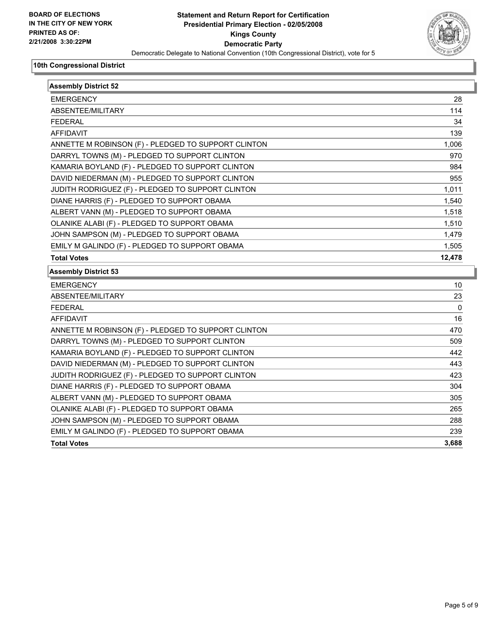

| <b>Assembly District 52</b>                         |        |
|-----------------------------------------------------|--------|
| <b>EMERGENCY</b>                                    | 28     |
| ABSENTEE/MILITARY                                   | 114    |
| <b>FEDERAL</b>                                      | 34     |
| <b>AFFIDAVIT</b>                                    | 139    |
| ANNETTE M ROBINSON (F) - PLEDGED TO SUPPORT CLINTON | 1,006  |
| DARRYL TOWNS (M) - PLEDGED TO SUPPORT CLINTON       | 970    |
| KAMARIA BOYLAND (F) - PLEDGED TO SUPPORT CLINTON    | 984    |
| DAVID NIEDERMAN (M) - PLEDGED TO SUPPORT CLINTON    | 955    |
| JUDITH RODRIGUEZ (F) - PLEDGED TO SUPPORT CLINTON   | 1,011  |
| DIANE HARRIS (F) - PLEDGED TO SUPPORT OBAMA         | 1,540  |
| ALBERT VANN (M) - PLEDGED TO SUPPORT OBAMA          | 1,518  |
| OLANIKE ALABI (F) - PLEDGED TO SUPPORT OBAMA        | 1,510  |
| JOHN SAMPSON (M) - PLEDGED TO SUPPORT OBAMA         | 1,479  |
| EMILY M GALINDO (F) - PLEDGED TO SUPPORT OBAMA      | 1,505  |
| <b>Total Votes</b>                                  | 12,478 |
| <b>Assembly District 53</b>                         |        |
| <b>EMERGENCY</b>                                    | 10     |
| ABSENTEE/MILITARY                                   | 23     |
| <b>FEDERAL</b>                                      | 0      |
| <b>AFFIDAVIT</b>                                    | 16     |
| ANNETTE M ROBINSON (F) - PLEDGED TO SUPPORT CLINTON | 470    |
| DARRYL TOWNS (M) - PLEDGED TO SUPPORT CLINTON       | 509    |
| KAMARIA BOYLAND (F) - PLEDGED TO SUPPORT CLINTON    | 442    |
| DAVID NIEDERMAN (M) - PLEDGED TO SUPPORT CLINTON    | 443    |
| JUDITH RODRIGUEZ (F) - PLEDGED TO SUPPORT CLINTON   | 423    |
| DIANE HARRIS (F) - PLEDGED TO SUPPORT OBAMA         | 304    |
| ALBERT VANN (M) - PLEDGED TO SUPPORT OBAMA          | 305    |
| OLANIKE ALABI (F) - PLEDGED TO SUPPORT OBAMA        | 265    |
| JOHN SAMPSON (M) - PLEDGED TO SUPPORT OBAMA         | 288    |
| EMILY M GALINDO (F) - PLEDGED TO SUPPORT OBAMA      | 239    |
| <b>Total Votes</b>                                  | 3,688  |
|                                                     |        |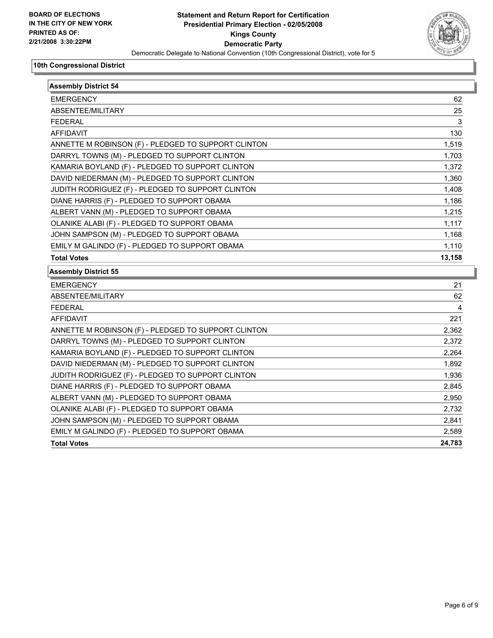

| <b>Assembly District 54</b>                         |        |
|-----------------------------------------------------|--------|
| <b>EMERGENCY</b>                                    | 62     |
| ABSENTEE/MILITARY                                   | 25     |
| <b>FEDERAL</b>                                      | 3      |
| <b>AFFIDAVIT</b>                                    | 130    |
| ANNETTE M ROBINSON (F) - PLEDGED TO SUPPORT CLINTON | 1,519  |
| DARRYL TOWNS (M) - PLEDGED TO SUPPORT CLINTON       | 1,703  |
| KAMARIA BOYLAND (F) - PLEDGED TO SUPPORT CLINTON    | 1,372  |
| DAVID NIEDERMAN (M) - PLEDGED TO SUPPORT CLINTON    | 1,360  |
| JUDITH RODRIGUEZ (F) - PLEDGED TO SUPPORT CLINTON   | 1,408  |
| DIANE HARRIS (F) - PLEDGED TO SUPPORT OBAMA         | 1,186  |
| ALBERT VANN (M) - PLEDGED TO SUPPORT OBAMA          | 1,215  |
| OLANIKE ALABI (F) - PLEDGED TO SUPPORT OBAMA        | 1,117  |
| JOHN SAMPSON (M) - PLEDGED TO SUPPORT OBAMA         | 1,168  |
| EMILY M GALINDO (F) - PLEDGED TO SUPPORT OBAMA      | 1,110  |
| <b>Total Votes</b>                                  | 13,158 |
| <b>Assembly District 55</b>                         |        |
| <b>EMERGENCY</b>                                    | 21     |
| ABSENTEE/MILITARY                                   | 62     |
| <b>FEDERAL</b>                                      |        |
| <b>AFFIDAVIT</b>                                    | 221    |
| ANNETTE M ROBINSON (F) - PLEDGED TO SUPPORT CLINTON | 2,362  |
| DARRYL TOWNS (M) - PLEDGED TO SUPPORT CLINTON       | 2,372  |
| KAMARIA BOYLAND (F) - PLEDGED TO SUPPORT CLINTON    | 2,264  |
| DAVID NIEDERMAN (M) - PLEDGED TO SUPPORT CLINTON    | 1,892  |
| JUDITH RODRIGUEZ (F) - PLEDGED TO SUPPORT CLINTON   | 1,936  |
| DIANE HARRIS (F) - PLEDGED TO SUPPORT OBAMA         | 2,845  |
| ALBERT VANN (M) - PLEDGED TO SUPPORT OBAMA          | 2,950  |
| OLANIKE ALABI (F) - PLEDGED TO SUPPORT OBAMA        | 2,732  |
| JOHN SAMPSON (M) - PLEDGED TO SUPPORT OBAMA         | 2,841  |
| EMILY M GALINDO (F) - PLEDGED TO SUPPORT OBAMA      | 2,589  |
| <b>Total Votes</b>                                  | 24,783 |
|                                                     |        |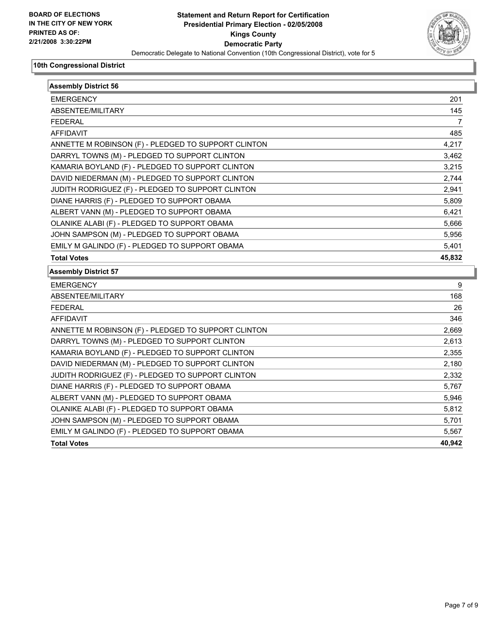

| <b>EMERGENCY</b><br>ABSENTEE/MILITARY<br><b>FEDERAL</b><br><b>AFFIDAVIT</b><br>ANNETTE M ROBINSON (F) - PLEDGED TO SUPPORT CLINTON<br>DARRYL TOWNS (M) - PLEDGED TO SUPPORT CLINTON<br>KAMARIA BOYLAND (F) - PLEDGED TO SUPPORT CLINTON<br>DAVID NIEDERMAN (M) - PLEDGED TO SUPPORT CLINTON<br>JUDITH RODRIGUEZ (F) - PLEDGED TO SUPPORT CLINTON<br>DIANE HARRIS (F) - PLEDGED TO SUPPORT OBAMA<br>ALBERT VANN (M) - PLEDGED TO SUPPORT OBAMA<br>OLANIKE ALABI (F) - PLEDGED TO SUPPORT OBAMA<br>JOHN SAMPSON (M) - PLEDGED TO SUPPORT OBAMA<br>EMILY M GALINDO (F) - PLEDGED TO SUPPORT OBAMA<br><b>Total Votes</b><br><b>EMERGENCY</b><br>ABSENTEE/MILITARY<br><b>FEDERAL</b><br><b>AFFIDAVIT</b><br>ANNETTE M ROBINSON (F) - PLEDGED TO SUPPORT CLINTON<br>DARRYL TOWNS (M) - PLEDGED TO SUPPORT CLINTON<br>KAMARIA BOYLAND (F) - PLEDGED TO SUPPORT CLINTON<br>DAVID NIEDERMAN (M) - PLEDGED TO SUPPORT CLINTON<br>JUDITH RODRIGUEZ (F) - PLEDGED TO SUPPORT CLINTON<br>DIANE HARRIS (F) - PLEDGED TO SUPPORT OBAMA<br>ALBERT VANN (M) - PLEDGED TO SUPPORT OBAMA<br>OLANIKE ALABI (F) - PLEDGED TO SUPPORT OBAMA<br>JOHN SAMPSON (M) - PLEDGED TO SUPPORT OBAMA<br>EMILY M GALINDO (F) - PLEDGED TO SUPPORT OBAMA<br>40,942<br><b>Total Votes</b> | <b>Assembly District 56</b> |                |
|--------------------------------------------------------------------------------------------------------------------------------------------------------------------------------------------------------------------------------------------------------------------------------------------------------------------------------------------------------------------------------------------------------------------------------------------------------------------------------------------------------------------------------------------------------------------------------------------------------------------------------------------------------------------------------------------------------------------------------------------------------------------------------------------------------------------------------------------------------------------------------------------------------------------------------------------------------------------------------------------------------------------------------------------------------------------------------------------------------------------------------------------------------------------------------------------------------------------------------------------------------|-----------------------------|----------------|
|                                                                                                                                                                                                                                                                                                                                                                                                                                                                                                                                                                                                                                                                                                                                                                                                                                                                                                                                                                                                                                                                                                                                                                                                                                                        |                             | 201            |
|                                                                                                                                                                                                                                                                                                                                                                                                                                                                                                                                                                                                                                                                                                                                                                                                                                                                                                                                                                                                                                                                                                                                                                                                                                                        |                             | 145            |
|                                                                                                                                                                                                                                                                                                                                                                                                                                                                                                                                                                                                                                                                                                                                                                                                                                                                                                                                                                                                                                                                                                                                                                                                                                                        |                             | $\overline{7}$ |
|                                                                                                                                                                                                                                                                                                                                                                                                                                                                                                                                                                                                                                                                                                                                                                                                                                                                                                                                                                                                                                                                                                                                                                                                                                                        |                             | 485            |
|                                                                                                                                                                                                                                                                                                                                                                                                                                                                                                                                                                                                                                                                                                                                                                                                                                                                                                                                                                                                                                                                                                                                                                                                                                                        |                             | 4,217          |
|                                                                                                                                                                                                                                                                                                                                                                                                                                                                                                                                                                                                                                                                                                                                                                                                                                                                                                                                                                                                                                                                                                                                                                                                                                                        |                             | 3,462          |
|                                                                                                                                                                                                                                                                                                                                                                                                                                                                                                                                                                                                                                                                                                                                                                                                                                                                                                                                                                                                                                                                                                                                                                                                                                                        |                             | 3,215          |
|                                                                                                                                                                                                                                                                                                                                                                                                                                                                                                                                                                                                                                                                                                                                                                                                                                                                                                                                                                                                                                                                                                                                                                                                                                                        |                             | 2,744          |
|                                                                                                                                                                                                                                                                                                                                                                                                                                                                                                                                                                                                                                                                                                                                                                                                                                                                                                                                                                                                                                                                                                                                                                                                                                                        |                             | 2,941          |
|                                                                                                                                                                                                                                                                                                                                                                                                                                                                                                                                                                                                                                                                                                                                                                                                                                                                                                                                                                                                                                                                                                                                                                                                                                                        |                             | 5,809          |
|                                                                                                                                                                                                                                                                                                                                                                                                                                                                                                                                                                                                                                                                                                                                                                                                                                                                                                                                                                                                                                                                                                                                                                                                                                                        |                             | 6,421          |
|                                                                                                                                                                                                                                                                                                                                                                                                                                                                                                                                                                                                                                                                                                                                                                                                                                                                                                                                                                                                                                                                                                                                                                                                                                                        |                             | 5,666          |
|                                                                                                                                                                                                                                                                                                                                                                                                                                                                                                                                                                                                                                                                                                                                                                                                                                                                                                                                                                                                                                                                                                                                                                                                                                                        |                             | 5,956          |
|                                                                                                                                                                                                                                                                                                                                                                                                                                                                                                                                                                                                                                                                                                                                                                                                                                                                                                                                                                                                                                                                                                                                                                                                                                                        |                             | 5,401          |
|                                                                                                                                                                                                                                                                                                                                                                                                                                                                                                                                                                                                                                                                                                                                                                                                                                                                                                                                                                                                                                                                                                                                                                                                                                                        |                             | 45,832         |
|                                                                                                                                                                                                                                                                                                                                                                                                                                                                                                                                                                                                                                                                                                                                                                                                                                                                                                                                                                                                                                                                                                                                                                                                                                                        | <b>Assembly District 57</b> |                |
|                                                                                                                                                                                                                                                                                                                                                                                                                                                                                                                                                                                                                                                                                                                                                                                                                                                                                                                                                                                                                                                                                                                                                                                                                                                        |                             | 9              |
|                                                                                                                                                                                                                                                                                                                                                                                                                                                                                                                                                                                                                                                                                                                                                                                                                                                                                                                                                                                                                                                                                                                                                                                                                                                        |                             | 168            |
|                                                                                                                                                                                                                                                                                                                                                                                                                                                                                                                                                                                                                                                                                                                                                                                                                                                                                                                                                                                                                                                                                                                                                                                                                                                        |                             | 26             |
|                                                                                                                                                                                                                                                                                                                                                                                                                                                                                                                                                                                                                                                                                                                                                                                                                                                                                                                                                                                                                                                                                                                                                                                                                                                        |                             | 346            |
|                                                                                                                                                                                                                                                                                                                                                                                                                                                                                                                                                                                                                                                                                                                                                                                                                                                                                                                                                                                                                                                                                                                                                                                                                                                        |                             | 2,669          |
|                                                                                                                                                                                                                                                                                                                                                                                                                                                                                                                                                                                                                                                                                                                                                                                                                                                                                                                                                                                                                                                                                                                                                                                                                                                        |                             | 2,613          |
|                                                                                                                                                                                                                                                                                                                                                                                                                                                                                                                                                                                                                                                                                                                                                                                                                                                                                                                                                                                                                                                                                                                                                                                                                                                        |                             | 2,355          |
|                                                                                                                                                                                                                                                                                                                                                                                                                                                                                                                                                                                                                                                                                                                                                                                                                                                                                                                                                                                                                                                                                                                                                                                                                                                        |                             | 2,180          |
|                                                                                                                                                                                                                                                                                                                                                                                                                                                                                                                                                                                                                                                                                                                                                                                                                                                                                                                                                                                                                                                                                                                                                                                                                                                        |                             | 2,332          |
|                                                                                                                                                                                                                                                                                                                                                                                                                                                                                                                                                                                                                                                                                                                                                                                                                                                                                                                                                                                                                                                                                                                                                                                                                                                        |                             | 5,767          |
|                                                                                                                                                                                                                                                                                                                                                                                                                                                                                                                                                                                                                                                                                                                                                                                                                                                                                                                                                                                                                                                                                                                                                                                                                                                        |                             | 5,946          |
|                                                                                                                                                                                                                                                                                                                                                                                                                                                                                                                                                                                                                                                                                                                                                                                                                                                                                                                                                                                                                                                                                                                                                                                                                                                        |                             | 5,812          |
|                                                                                                                                                                                                                                                                                                                                                                                                                                                                                                                                                                                                                                                                                                                                                                                                                                                                                                                                                                                                                                                                                                                                                                                                                                                        |                             | 5,701          |
|                                                                                                                                                                                                                                                                                                                                                                                                                                                                                                                                                                                                                                                                                                                                                                                                                                                                                                                                                                                                                                                                                                                                                                                                                                                        |                             |                |
|                                                                                                                                                                                                                                                                                                                                                                                                                                                                                                                                                                                                                                                                                                                                                                                                                                                                                                                                                                                                                                                                                                                                                                                                                                                        |                             | 5,567          |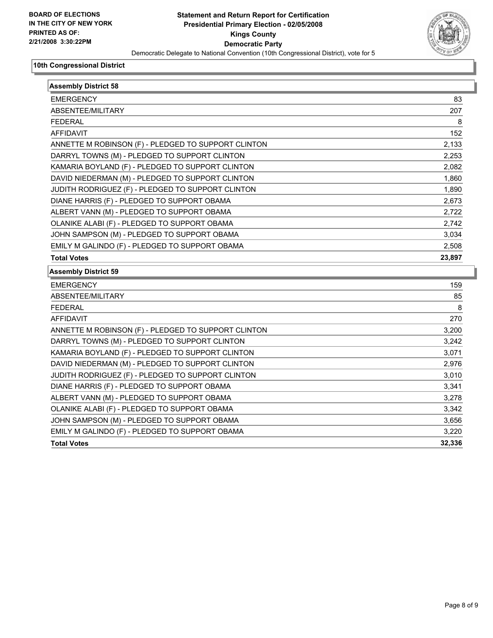

| <b>Assembly District 58</b>                         |        |
|-----------------------------------------------------|--------|
| <b>EMERGENCY</b>                                    | 83     |
| ABSENTEE/MILITARY                                   | 207    |
| <b>FEDERAL</b>                                      | 8      |
| <b>AFFIDAVIT</b>                                    | 152    |
| ANNETTE M ROBINSON (F) - PLEDGED TO SUPPORT CLINTON | 2,133  |
| DARRYL TOWNS (M) - PLEDGED TO SUPPORT CLINTON       | 2,253  |
| KAMARIA BOYLAND (F) - PLEDGED TO SUPPORT CLINTON    | 2,082  |
| DAVID NIEDERMAN (M) - PLEDGED TO SUPPORT CLINTON    | 1,860  |
| JUDITH RODRIGUEZ (F) - PLEDGED TO SUPPORT CLINTON   | 1,890  |
| DIANE HARRIS (F) - PLEDGED TO SUPPORT OBAMA         | 2,673  |
| ALBERT VANN (M) - PLEDGED TO SUPPORT OBAMA          | 2,722  |
| OLANIKE ALABI (F) - PLEDGED TO SUPPORT OBAMA        | 2,742  |
| JOHN SAMPSON (M) - PLEDGED TO SUPPORT OBAMA         | 3,034  |
| EMILY M GALINDO (F) - PLEDGED TO SUPPORT OBAMA      | 2,508  |
| <b>Total Votes</b>                                  | 23,897 |
| <b>Assembly District 59</b>                         |        |
| <b>EMERGENCY</b>                                    | 159    |
| ABSENTEE/MILITARY                                   | 85     |
| <b>FEDERAL</b>                                      | 8      |
| <b>AFFIDAVIT</b>                                    | 270    |
| ANNETTE M ROBINSON (F) - PLEDGED TO SUPPORT CLINTON | 3,200  |
| DARRYL TOWNS (M) - PLEDGED TO SUPPORT CLINTON       | 3,242  |
| KAMARIA BOYLAND (F) - PLEDGED TO SUPPORT CLINTON    | 3,071  |
| DAVID NIEDERMAN (M) - PLEDGED TO SUPPORT CLINTON    | 2,976  |
| JUDITH RODRIGUEZ (F) - PLEDGED TO SUPPORT CLINTON   | 3,010  |
| DIANE HARRIS (F) - PLEDGED TO SUPPORT OBAMA         | 3,341  |
| ALBERT VANN (M) - PLEDGED TO SUPPORT OBAMA          | 3,278  |
| OLANIKE ALABI (F) - PLEDGED TO SUPPORT OBAMA        | 3,342  |
| JOHN SAMPSON (M) - PLEDGED TO SUPPORT OBAMA         | 3,656  |
| EMILY M GALINDO (F) - PLEDGED TO SUPPORT OBAMA      | 3,220  |
| <b>Total Votes</b>                                  | 32,336 |
|                                                     |        |